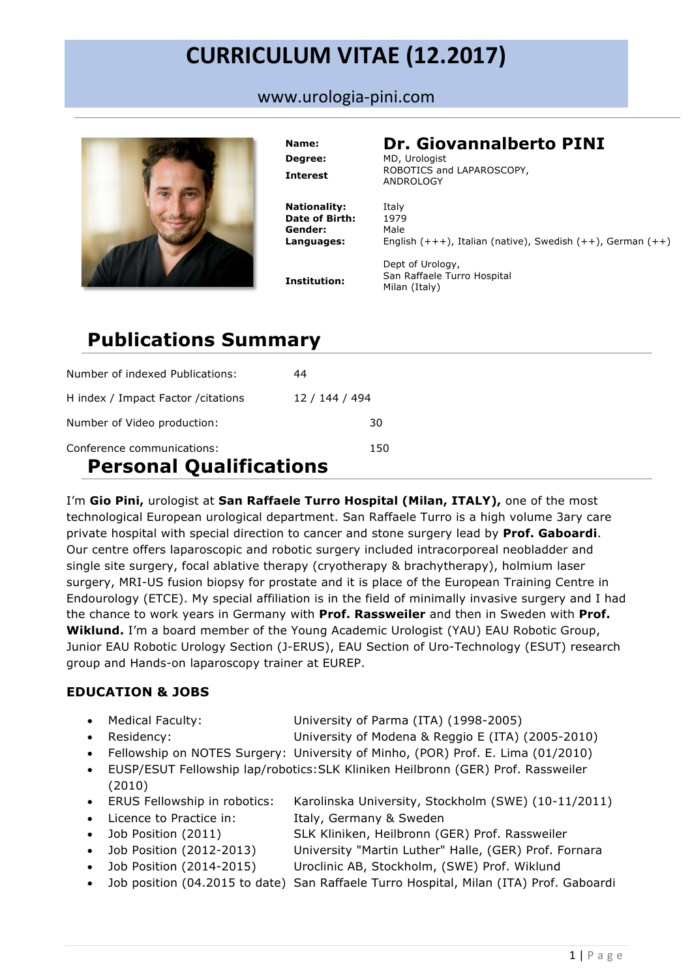# **CURRICULUM VITAE (12.2017)**

www.urologia-pini.com



**Degree:** MD, Urologist **Nationality:** Italy **Date of Birth:** 1979

### **Name: Dr. Giovannalberto PINI**

**Interest** ROBOTICS and LAPAROSCOPY, ANDROLOGY

**Gender:** Male **Languages:** English (+++), Italian (native), Swedish (++), German (++)

**Institution:**

Dept of Urology, San Raffaele Turro Hospital Milan (Italy)

## **Publications Summary**

| Number of indexed Publications:                                     | 44             |  |
|---------------------------------------------------------------------|----------------|--|
| H index / Impact Factor / citations                                 | 12 / 144 / 494 |  |
| Number of Video production:                                         | 30             |  |
| Conference communications:<br>150<br><b>Personal Qualifications</b> |                |  |

I'm **Gio Pini,** urologist at **San Raffaele Turro Hospital (Milan, ITALY),** one of the most technological European urological department. San Raffaele Turro is a high volume 3ary care private hospital with special direction to cancer and stone surgery lead by **Prof. Gaboardi**. Our centre offers laparoscopic and robotic surgery included intracorporeal neobladder and single site surgery, focal ablative therapy (cryotherapy & brachytherapy), holmium laser surgery, MRI-US fusion biopsy for prostate and it is place of the European Training Centre in Endourology (ETCE). My special affiliation is in the field of minimally invasive surgery and I had the chance to work years in Germany with **Prof. Rassweiler** and then in Sweden with **Prof. Wiklund.** I'm a board member of the Young Academic Urologist (YAU) EAU Robotic Group, Junior EAU Robotic Urology Section (J-ERUS), EAU Section of Uro-Technology (ESUT) research group and Hands-on laparoscopy trainer at EUREP.

### **EDUCATION & JOBS**

| • Medical Faculty:   | University of Parma (ITA) (1998-2005)             |
|----------------------|---------------------------------------------------|
| $\bullet$ Residency: | University of Modena & Reggio E (ITA) (2005-2010) |

- Fellowship on NOTES Surgery: University of Minho, (POR) Prof. E. Lima (01/2010)
- EUSP/ESUT Fellowship lap/robotics:SLK Kliniken Heilbronn (GER) Prof. Rassweiler (2010)
- ERUS Fellowship in robotics: Karolinska University, Stockholm (SWE) (10-11/2011)
- Licence to Practice in: Italy, Germany & Sweden
- Job Position (2011) SLK Kliniken, Heilbronn (GER) Prof. Rassweiler
	- Job Position (2012-2013) University "Martin Luther" Halle, (GER) Prof. Fornara
- Job Position (2014-2015) Uroclinic AB, Stockholm, (SWE) Prof. Wiklund
- Job position (04.2015 to date) San Raffaele Turro Hospital, Milan (ITA) Prof. Gaboardi